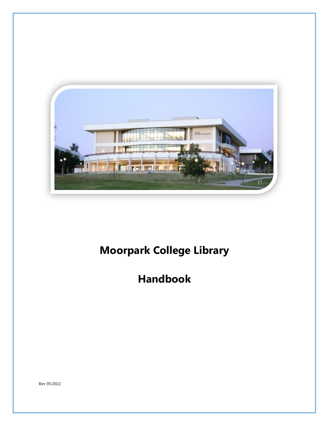

# **Moorpark College Library**

## **Handbook**

Rev 05/2022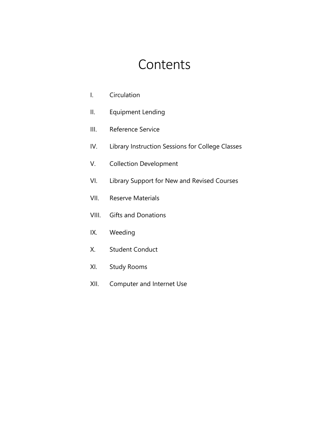# **Contents**

- I. Circulation
- II. Equipment Lending
- III. Reference Service
- IV. Library Instruction Sessions for College Classes
- V. Collection Development
- VI. Library Support for New and Revised Courses
- VII. Reserve Materials
- VIII. Gifts and Donations
- IX. Weeding
- X. Student Conduct
- XI. Study Rooms
- XII. Computer and Internet Use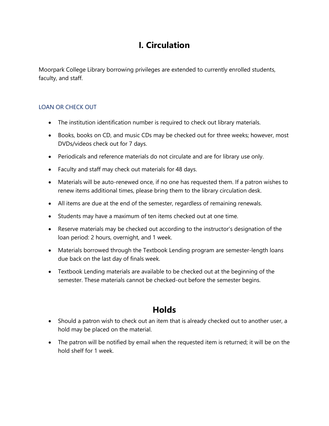### **I. Circulation**

Moorpark College Library borrowing privileges are extended to currently enrolled students, faculty, and staff.

### LOAN OR CHECK OUT

- The institution identification number is required to check out library materials.
- Books, books on CD, and music CDs may be checked out for three weeks; however, most DVDs/videos check out for 7 days.
- Periodicals and reference materials do not circulate and are for library use only.
- Faculty and staff may check out materials for 48 days.
- Materials will be auto-renewed once, if no one has requested them. If a patron wishes to renew items additional times, please bring them to the library circulation desk.
- All items are due at the end of the semester, regardless of remaining renewals.
- Students may have a maximum of ten items checked out at one time.
- Reserve materials may be checked out according to the instructor's designation of the loan period: 2 hours, overnight, and 1 week.
- Materials borrowed through the Textbook Lending program are semester-length loans due back on the last day of finals week.
- Textbook Lending materials are available to be checked out at the beginning of the semester. These materials cannot be checked-out before the semester begins.

### **Holds**

- Should a patron wish to check out an item that is already checked out to another user, a hold may be placed on the material.
- The patron will be notified by email when the requested item is returned; it will be on the hold shelf for 1 week.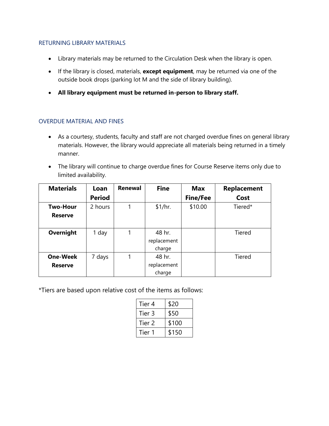#### RETURNING LIBRARY MATERIALS

- Library materials may be returned to the Circulation Desk when the library is open.
- If the library is closed, materials, **except equipment**, may be returned via one of the outside book drops (parking lot M and the side of library building).
- **All library equipment must be returned in-person to library staff.**

### OVERDUE MATERIAL AND FINES

- As a courtesy, students, faculty and staff are not charged overdue fines on general library materials. However, the library would appreciate all materials being returned in a timely manner.
- The library will continue to charge overdue fines for Course Reserve items only due to limited availability.

| <b>Materials</b> | Loan          | Renewal | <b>Fine</b> | Max             | <b>Replacement</b> |
|------------------|---------------|---------|-------------|-----------------|--------------------|
|                  | <b>Period</b> |         |             | <b>Fine/Fee</b> | Cost               |
| <b>Two-Hour</b>  | 2 hours       | 1       | \$1/hr.     | \$10.00         | Tiered*            |
| <b>Reserve</b>   |               |         |             |                 |                    |
|                  |               |         |             |                 |                    |
| Overnight        | 1 day         |         | 48 hr.      |                 | Tiered             |
|                  |               |         | replacement |                 |                    |
|                  |               |         | charge      |                 |                    |
| <b>One-Week</b>  | 7 days        | 1       | 48 hr.      |                 | Tiered             |
| <b>Reserve</b>   |               |         | replacement |                 |                    |
|                  |               |         | charge      |                 |                    |

\*Tiers are based upon relative cost of the items as follows:

|  | Tier 4 | \$20  |  |
|--|--------|-------|--|
|  | Tier 3 | \$50  |  |
|  | Tier 2 | \$100 |  |
|  | Tier 1 | \$150 |  |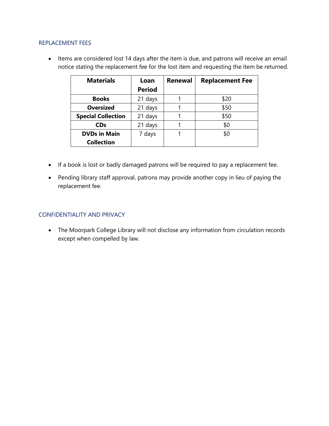#### REPLACEMENT FEES

• Items are considered lost 14 days after the item is due, and patrons will receive an email notice stating the replacement fee for the lost item and requesting the item be returned.

| <b>Materials</b>          | Loan          | Renewal | <b>Replacement Fee</b> |
|---------------------------|---------------|---------|------------------------|
|                           | <b>Period</b> |         |                        |
| <b>Books</b>              | 21 days       |         | \$20                   |
| <b>Oversized</b>          | 21 days       |         | \$50                   |
| <b>Special Collection</b> | 21 days       |         | \$50                   |
| <b>CDs</b>                | 21 days       |         | \$0                    |
| <b>DVDs in Main</b>       | 7 days        |         | \$0                    |
| <b>Collection</b>         |               |         |                        |

- If a book is lost or badly damaged patrons will be required to pay a replacement fee.
- Pending library staff approval, patrons may provide another copy in lieu of paying the replacement fee.

### CONFIDENTIALITY AND PRIVACY

• The Moorpark College Library will not disclose any information from circulation records except when compelled by law.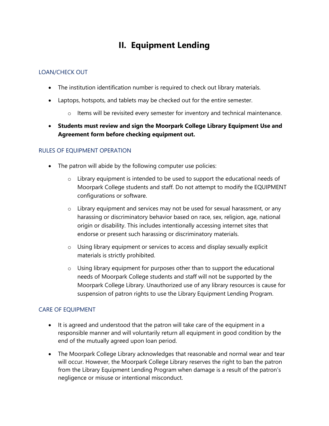## **II. Equipment Lending**

### LOAN/CHECK OUT

- The institution identification number is required to check out library materials.
- Laptops, hotspots, and tablets may be checked out for the entire semester.
	- $\circ$  Items will be revisited every semester for inventory and technical maintenance.
- **Students must review and sign the Moorpark College Library Equipment Use and Agreement form before checking equipment out.**

### RULES OF EQUIPMENT OPERATION

- The patron will abide by the following computer use policies:
	- $\circ$  Library equipment is intended to be used to support the educational needs of Moorpark College students and staff. Do not attempt to modify the EQUIPMENT configurations or software.
	- $\circ$  Library equipment and services may not be used for sexual harassment, or any harassing or discriminatory behavior based on race, sex, religion, age, national origin or disability. This includes intentionally accessing internet sites that endorse or present such harassing or discriminatory materials.
	- o Using library equipment or services to access and display sexually explicit materials is strictly prohibited.
	- $\circ$  Using library equipment for purposes other than to support the educational needs of Moorpark College students and staff will not be supported by the Moorpark College Library. Unauthorized use of any library resources is cause for suspension of patron rights to use the Library Equipment Lending Program.

### CARE OF EQUIPMENT

- It is agreed and understood that the patron will take care of the equipment in a responsible manner and will voluntarily return all equipment in good condition by the end of the mutually agreed upon loan period.
- The Moorpark College Library acknowledges that reasonable and normal wear and tear will occur. However, the Moorpark College Library reserves the right to ban the patron from the Library Equipment Lending Program when damage is a result of the patron's negligence or misuse or intentional misconduct.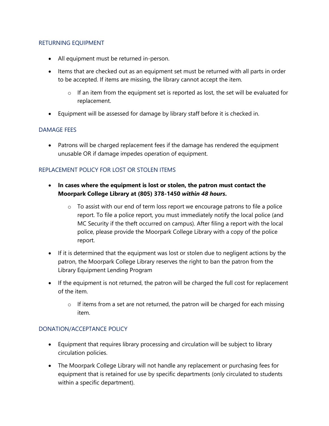#### RETURNING EQUIPMENT

- All equipment must be returned in-person.
- Items that are checked out as an equipment set must be returned with all parts in order to be accepted. If items are missing, the library cannot accept the item.
	- $\circ$  If an item from the equipment set is reported as lost, the set will be evaluated for replacement.
- Equipment will be assessed for damage by library staff before it is checked in.

#### DAMAGE FEES

• Patrons will be charged replacement fees if the damage has rendered the equipment unusable OR if damage impedes operation of equipment.

### REPLACEMENT POLICY FOR LOST OR STOLEN ITEMS

- **In cases where the equipment is lost or stolen, the patron must contact the Moorpark College Library at (805) 378-1450** *within 48 hours***.** 
	- $\circ$  To assist with our end of term loss report we encourage patrons to file a police report. To file a police report, you must immediately notify the local police (and MC Security if the theft occurred on campus). After filing a report with the local police, please provide the Moorpark College Library with a copy of the police report.
- If it is determined that the equipment was lost or stolen due to negligent actions by the patron, the Moorpark College Library reserves the right to ban the patron from the Library Equipment Lending Program
- If the equipment is not returned, the patron will be charged the full cost for replacement of the item.
	- $\circ$  If items from a set are not returned, the patron will be charged for each missing item.

### DONATION/ACCEPTANCE POLICY

- Equipment that requires library processing and circulation will be subject to library circulation policies.
- The Moorpark College Library will not handle any replacement or purchasing fees for equipment that is retained for use by specific departments (only circulated to students within a specific department).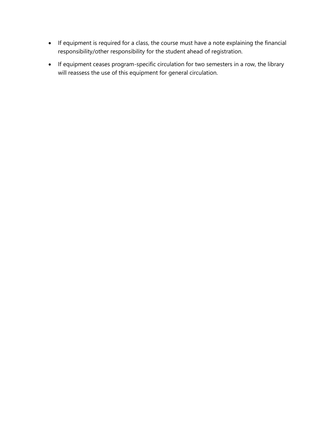- If equipment is required for a class, the course must have a note explaining the financial responsibility/other responsibility for the student ahead of registration.
- If equipment ceases program-specific circulation for two semesters in a row, the library will reassess the use of this equipment for general circulation.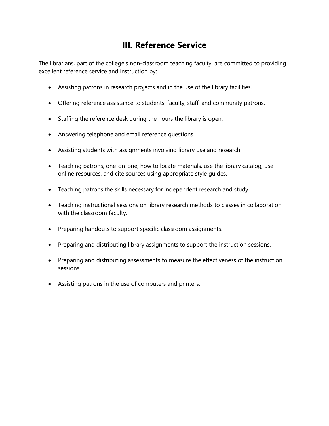### **III. Reference Service**

The librarians, part of the college's non-classroom teaching faculty, are committed to providing excellent reference service and instruction by:

- Assisting patrons in research projects and in the use of the library facilities.
- Offering reference assistance to students, faculty, staff, and community patrons.
- Staffing the reference desk during the hours the library is open.
- Answering telephone and email reference questions.
- Assisting students with assignments involving library use and research.
- Teaching patrons, one-on-one, how to locate materials, use the library catalog, use online resources, and cite sources using appropriate style guides.
- Teaching patrons the skills necessary for independent research and study.
- Teaching instructional sessions on library research methods to classes in collaboration with the classroom faculty.
- Preparing handouts to support specific classroom assignments.
- Preparing and distributing library assignments to support the instruction sessions.
- Preparing and distributing assessments to measure the effectiveness of the instruction sessions.
- Assisting patrons in the use of computers and printers.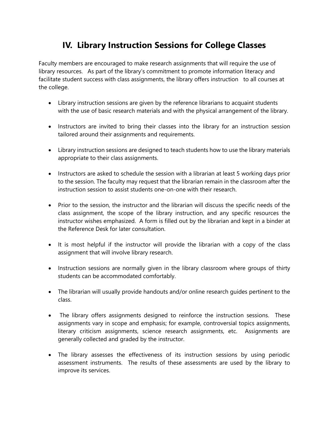### **IV. Library Instruction Sessions for College Classes**

Faculty members are encouraged to make research assignments that will require the use of library resources. As part of the library's commitment to promote information literacy and facilitate student success with class assignments, the library offers instruction to all courses at the college.

- Library instruction sessions are given by the reference librarians to acquaint students with the use of basic research materials and with the physical arrangement of the library.
- Instructors are invited to bring their classes into the library for an instruction session tailored around their assignments and requirements.
- Library instruction sessions are designed to teach students how to use the library materials appropriate to their class assignments.
- Instructors are asked to schedule the session with a librarian at least 5 working days prior to the session. The faculty may request that the librarian remain in the classroom after the instruction session to assist students one-on-one with their research.
- Prior to the session, the instructor and the librarian will discuss the specific needs of the class assignment, the scope of the library instruction, and any specific resources the instructor wishes emphasized. A form is filled out by the librarian and kept in a binder at the Reference Desk for later consultation.
- It is most helpful if the instructor will provide the librarian with a copy of the class assignment that will involve library research.
- Instruction sessions are normally given in the library classroom where groups of thirty students can be accommodated comfortably.
- The librarian will usually provide handouts and/or online research guides pertinent to the class.
- The library offers assignments designed to reinforce the instruction sessions. These assignments vary in scope and emphasis; for example, controversial topics assignments, literary criticism assignments, science research assignments, etc. Assignments are generally collected and graded by the instructor.
- The library assesses the effectiveness of its instruction sessions by using periodic assessment instruments. The results of these assessments are used by the library to improve its services.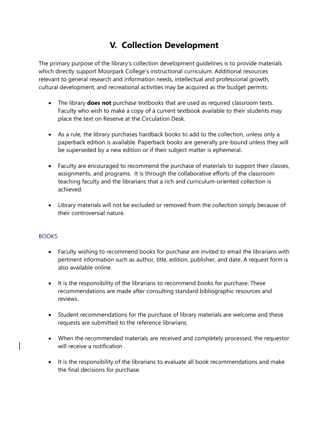### **V. Collection Development**

The primary purpose of the library's collection development guidelines is to provide materials which directly support Moorpark College's instructional curriculum. Additional resources relevant to general research and information needs, intellectual and professional growth, cultural development, and recreational activities may be acquired as the budget permits.

- The library **does not** purchase textbooks that are used as required classroom texts. Faculty who wish to make a copy of a current textbook available to their students may place the text on Reserve at the Circulation Desk.
- As a rule, the library purchases hardback books to add to the collection, unless only a paperback edition is available. Paperback books are generally pre-bound unless they will be superseded by a new edition or if their subject matter is ephemeral.
- Faculty are encouraged to recommend the purchase of materials to support their classes, assignments, and programs. It is through the collaborative efforts of the classroom teaching faculty and the librarians that a rich and curriculum-oriented collection is achieved.
- Library materials will not be excluded or removed from the collection simply because of their controversial nature.

### **BOOKS**

- Faculty wishing to recommend books for purchase are invited to email the librarians with pertinent information such as author, title, edition, publisher, and date. A request form is also available online.
- It is the responsibility of the librarians to recommend books for purchase. These recommendations are made after consulting standard bibliographic resources and reviews.
- Student recommendations for the purchase of library materials are welcome and these requests are submitted to the reference librarians.
- When the recommended materials are received and completely processed, the requestor will receive a notification .
- It is the responsibility of the librarians to evaluate all book recommendations and make the final decisions for purchase.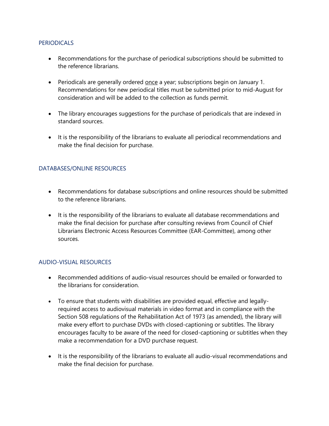#### PERIODICALS

- Recommendations for the purchase of periodical subscriptions should be submitted to the reference librarians.
- Periodicals are generally ordered **once** a year; subscriptions begin on January 1. Recommendations for new periodical titles must be submitted prior to mid-August for consideration and will be added to the collection as funds permit.
- The library encourages suggestions for the purchase of periodicals that are indexed in standard sources.
- It is the responsibility of the librarians to evaluate all periodical recommendations and make the final decision for purchase.

### DATABASES/ONLINE RESOURCES

- Recommendations for database subscriptions and online resources should be submitted to the reference librarians.
- It is the responsibility of the librarians to evaluate all database recommendations and make the final decision for purchase after consulting reviews from Council of Chief Librarians Electronic Access Resources Committee (EAR-Committee), among other sources.

#### AUDIO-VISUAL RESOURCES

- Recommended additions of audio-visual resources should be emailed or forwarded to the librarians for consideration.
- To ensure that students with disabilities are provided equal, effective and legallyrequired access to audiovisual materials in video format and in compliance with the Section 508 regulations of the Rehabilitation Act of 1973 (as amended), the library will make every effort to purchase DVDs with closed-captioning or subtitles. The library encourages faculty to be aware of the need for closed-captioning or subtitles when they make a recommendation for a DVD purchase request.
- It is the responsibility of the librarians to evaluate all audio-visual recommendations and make the final decision for purchase.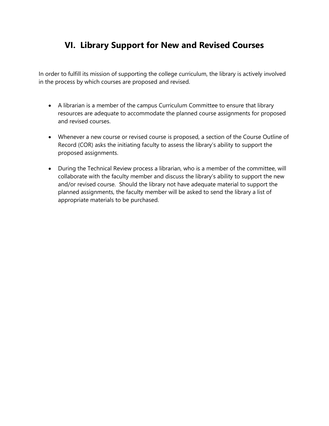### **VI. Library Support for New and Revised Courses**

In order to fulfill its mission of supporting the college curriculum, the library is actively involved in the process by which courses are proposed and revised.

- A librarian is a member of the campus Curriculum Committee to ensure that library resources are adequate to accommodate the planned course assignments for proposed and revised courses.
- Whenever a new course or revised course is proposed, a section of the Course Outline of Record (COR) asks the initiating faculty to assess the library's ability to support the proposed assignments.
- During the Technical Review process a librarian, who is a member of the committee, will collaborate with the faculty member and discuss the library's ability to support the new and/or revised course. Should the library not have adequate material to support the planned assignments, the faculty member will be asked to send the library a list of appropriate materials to be purchased.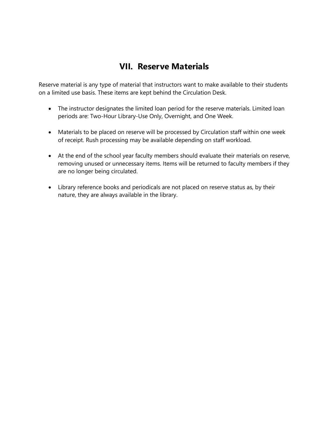### **VII. Reserve Materials**

Reserve material is any type of material that instructors want to make available to their students on a limited use basis. These items are kept behind the Circulation Desk.

- The instructor designates the limited loan period for the reserve materials. Limited loan periods are: Two-Hour Library-Use Only, Overnight, and One Week.
- Materials to be placed on reserve will be processed by Circulation staff within one week of receipt. Rush processing may be available depending on staff workload.
- At the end of the school year faculty members should evaluate their materials on reserve, removing unused or unnecessary items. Items will be returned to faculty members if they are no longer being circulated.
- Library reference books and periodicals are not placed on reserve status as, by their nature, they are always available in the library.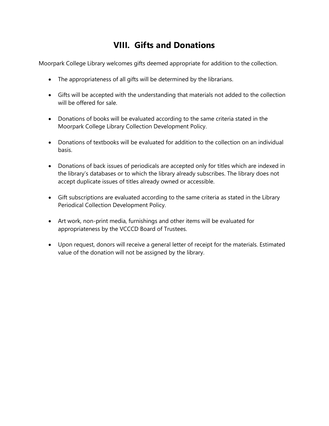### **VIII. Gifts and Donations**

Moorpark College Library welcomes gifts deemed appropriate for addition to the collection.

- The appropriateness of all gifts will be determined by the librarians.
- Gifts will be accepted with the understanding that materials not added to the collection will be offered for sale.
- Donations of books will be evaluated according to the same criteria stated in the Moorpark College Library Collection Development Policy.
- Donations of textbooks will be evaluated for addition to the collection on an individual basis.
- Donations of back issues of periodicals are accepted only for titles which are indexed in the library's databases or to which the library already subscribes. The library does not accept duplicate issues of titles already owned or accessible.
- Gift subscriptions are evaluated according to the same criteria as stated in the Library Periodical Collection Development Policy.
- Art work, non-print media, furnishings and other items will be evaluated for appropriateness by the VCCCD Board of Trustees.
- Upon request, donors will receive a general letter of receipt for the materials. Estimated value of the donation will not be assigned by the library.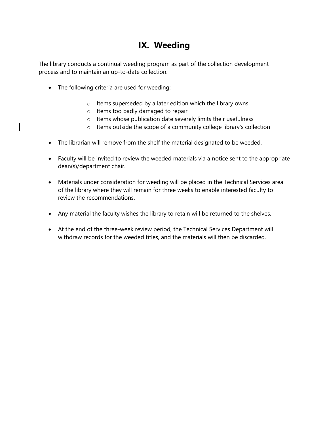### **IX. Weeding**

The library conducts a continual weeding program as part of the collection development process and to maintain an up-to-date collection.

- The following criteria are used for weeding:
	- o Items superseded by a later edition which the library owns
	- o Items too badly damaged to repair
	- o Items whose publication date severely limits their usefulness
	- o Items outside the scope of a community college library's collection
- The librarian will remove from the shelf the material designated to be weeded.
- Faculty will be invited to review the weeded materials via a notice sent to the appropriate dean(s)/department chair.
- Materials under consideration for weeding will be placed in the Technical Services area of the library where they will remain for three weeks to enable interested faculty to review the recommendations.
- Any material the faculty wishes the library to retain will be returned to the shelves.
- At the end of the three-week review period, the Technical Services Department will withdraw records for the weeded titles, and the materials will then be discarded.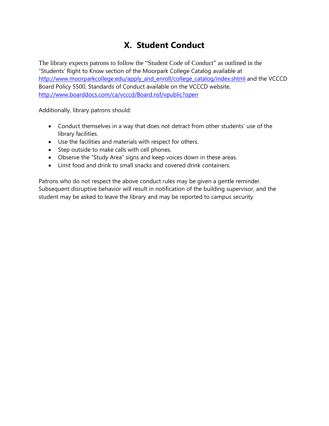## **X. Student Conduct**

The library expects patrons to follow the "Student Code of Conduct" as outlined in the "Students' Right to Know section of the Moorpark College Catalog available at [http://www.moorparkcollege.edu/apply\\_and\\_enroll/college\\_catalog/index.shtml](http://www.moorparkcollege.edu/apply_and_enroll/college_catalog/index.shtml) and the VCCCD Board Policy 5500, Standards of Conduct available on the VCCCD website, <http://www.boarddocs.com/ca/vcccd/Board.nsf/vpublic?open>

Additionally, library patrons should:

- Conduct themselves in a way that does not detract from other students' use of the library facilities.
- Use the facilities and materials with respect for others.
- Step outside to make calls with cell phones.
- Observe the "Study Area" signs and keep voices down in these areas.
- Limit food and drink to small snacks and covered drink containers.

Patrons who do not respect the above conduct rules may be given a gentle reminder. Subsequent disruptive behavior will result in notification of the building supervisor, and the student may be asked to leave the library and may be reported to campus security.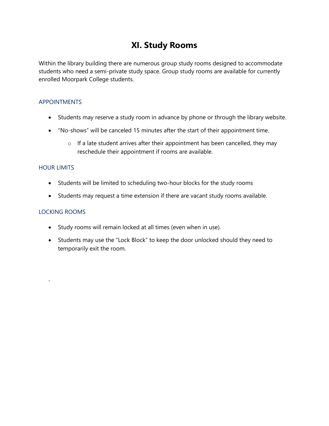### **XI. Study Rooms**

Within the library building there are numerous group study rooms designed to accommodate students who need a semi-private study space. Group study rooms are available for currently enrolled Moorpark College students.

#### **APPOINTMENTS**

- Students may reserve a study room in advance by phone or through the library website.
- "No-shows" will be canceled 15 minutes after the start of their appointment time.
	- $\circ$  If a late student arrives after their appointment has been cancelled, they may reschedule their appointment if rooms are available.

#### HOUR LIMITS

- Students will be limited to scheduling two-hour blocks for the study rooms
- Students may request a time extension if there are vacant study rooms available.

#### LOCKING ROOMS

.

- Study rooms will remain locked at all times (even when in use).
- Students may use the "Lock Block" to keep the door unlocked should they need to temporarily exit the room.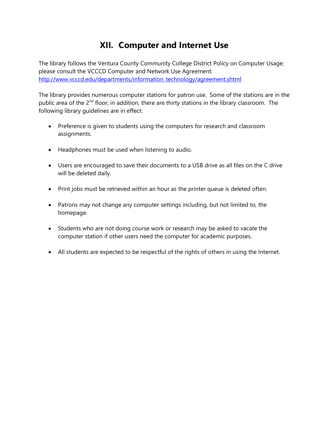### **XII. Computer and Internet Use**

The library follows the Ventura County Community College District Policy on Computer Usage; please consult the VCCCD Computer and Network Use Agreement: [http://www.vcccd.edu/departments/information\\_technology/agreement.shtml](http://www.vcccd.edu/departments/information_technology/agreement.shtml)

The library provides numerous computer stations for patron use. Some of the stations are in the public area of the 2<sup>nd</sup> floor; in addition, there are thirty stations in the library classroom. The following library guidelines are in effect:

- Preference is given to students using the computers for research and classroom assignments.
- Headphones must be used when listening to audio.
- Users are encouraged to save their documents to a USB drive as all files on the C drive will be deleted daily.
- Print jobs must be retrieved within an hour as the printer queue is deleted often.
- Patrons may not change any computer settings including, but not limited to, the homepage.
- Students who are not doing course work or research may be asked to vacate the computer station if other users need the computer for academic purposes.
- All students are expected to be respectful of the rights of others in using the Internet.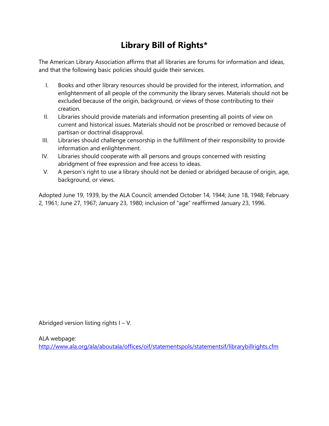## **Library Bill of Rights\***

The American Library Association affirms that all libraries are forums for information and ideas, and that the following basic policies should guide their services.

- I. Books and other library resources should be provided for the interest, information, and enlightenment of all people of the community the library serves. Materials should not be excluded because of the origin, background, or views of those contributing to their creation.
- II. Libraries should provide materials and information presenting all points of view on current and historical issues. Materials should not be proscribed or removed because of partisan or doctrinal disapproval.
- III. Libraries should challenge censorship in the fulfillment of their responsibility to provide information and enlightenment.
- IV. Libraries should cooperate with all persons and groups concerned with resisting abridgment of free expression and free access to ideas.
- V. A person's right to use a library should not be denied or abridged because of origin, age, background, or views.

Adopted June 19, 1939, by the ALA Council; amended October 14, 1944; June 18, 1948; February 2, 1961; June 27, 1967; January 23, 1980; inclusion of "age" reaffirmed January 23, 1996.

Abridged version listing rights I – V.

ALA webpage:

<http://www.ala.org/ala/aboutala/offices/oif/statementspols/statementsif/librarybillrights.cfm>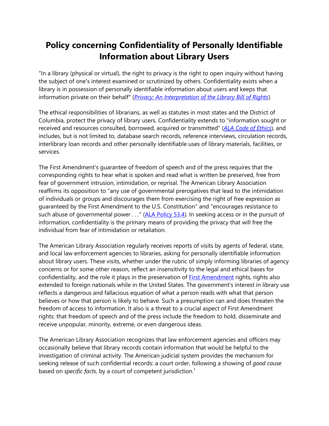### **Policy concerning Confidentiality of Personally Identifiable Information about Library Users**

"In a library (physical or virtual), the right to privacy is the right to open inquiry without having the subject of one's interest examined or scrutinized by others. Confidentiality exists when a library is in possession of personally identifiable information about users and keeps that information private on their behalf" (*[Privacy: An Interpretation of the Library Bill of Rights](http://www.ala.org/ala/aboutala/offices/oif/statementspols/statementsif/interpretations/privacy.cfm)*).

The ethical responsibilities of librarians, as well as statutes in most states and the District of Columbia, protect the privacy of library users. Confidentiality extends to "information sought or received and resources consulted, borrowed, acquired or transmitted" (*[ALA Code of Ethics](http://www.ala.org/ala/aboutala/offices/oif/statementspols/codeofethics/codeethics.cfm)*), and includes, but is not limited to, database search records, reference interviews, circulation records, interlibrary loan records and other personally identifiable uses of library materials, facilities, or services.

The First Amendment's guarantee of freedom of speech and of the press requires that the corresponding rights to hear what is spoken and read what is written be preserved, free from fear of government intrusion, intimidation, or reprisal. The American Library Association reaffirms its opposition to "any use of governmental prerogatives that lead to the intimidation of individuals or groups and discourages them from exercising the right of free expression as guaranteed by the First Amendment to the U.S. Constitution" and "encourages resistance to such abuse of governmental power . . ." [\(ALA Policy 53.4\)](http://www.ala.org/ala/aboutala/governance/policymanual/intellectual.cfm). In seeking access or in the pursuit of information, confidentiality is the primary means of providing the privacy that will free the individual from fear of intimidation or retaliation.

The American Library Association regularly receives reports of visits by agents of federal, state, and local law enforcement agencies to libraries, asking for personally identifiable information about library users. These visits, whether under the rubric of simply informing libraries of agency concerns or for some other reason, reflect an insensitivity to the legal and ethical bases for confidentiality, and the role it plays in the preservation of **First Amendment** rights, rights also extended to foreign nationals while in the United States. The government's interest in library use reflects a dangerous and fallacious equation of what a person reads with what that person believes or how that person is likely to behave. Such a presumption can and does threaten the freedom of access to information. It also is a threat to a crucial aspect of First Amendment rights: that freedom of speech and of the press include the freedom to hold, disseminate and receive unpopular, minority, extreme, or even dangerous ideas.

The American Library Association recognizes that law enforcement agencies and officers may occasionally believe that library records contain information that would be helpful to the investigation of criminal activity. The American judicial system provides the mechanism for seeking release of such confidential records: a court order, following a showing of *good cause* based on *specific facts*, by a court of competent jurisdiction.<sup>1</sup>